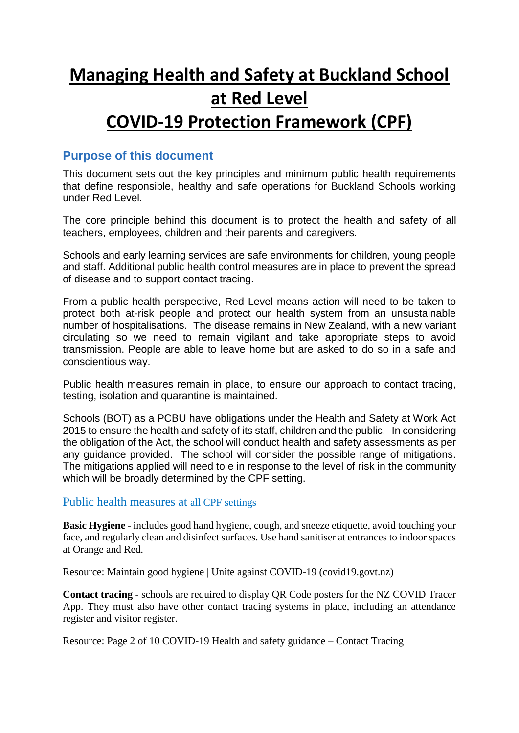# **Managing Health and Safety at Buckland School at Red Level**

# **COVID-19 Protection Framework (CPF)**

## **Purpose of this document**

This document sets out the key principles and minimum public health requirements that define responsible, healthy and safe operations for Buckland Schools working under Red Level.

The core principle behind this document is to protect the health and safety of all teachers, employees, children and their parents and caregivers.

Schools and early learning services are safe environments for children, young people and staff. Additional public health control measures are in place to prevent the spread of disease and to support contact tracing.

From a public health perspective, Red Level means action will need to be taken to protect both at-risk people and protect our health system from an unsustainable number of hospitalisations. The disease remains in New Zealand, with a new variant circulating so we need to remain vigilant and take appropriate steps to avoid transmission. People are able to leave home but are asked to do so in a safe and conscientious way.

Public health measures remain in place, to ensure our approach to contact tracing, testing, isolation and quarantine is maintained.

Schools (BOT) as a PCBU have obligations under the Health and Safety at Work Act 2015 to ensure the health and safety of its staff, children and the public. In considering the obligation of the Act, the school will conduct health and safety assessments as per any guidance provided. The school will consider the possible range of mitigations. The mitigations applied will need to e in response to the level of risk in the community which will be broadly determined by the CPF setting.

#### Public health measures at all CPF settings

**Basic Hygiene** - includes good hand hygiene, cough, and sneeze etiquette, avoid touching your face, and regularly clean and disinfect surfaces. Use hand sanitiser at entrances to indoor spaces at Orange and Red.

Resource: Maintain good hygiene | Unite against COVID-19 (covid19.govt.nz)

**Contact tracing** - schools are required to display QR Code posters for the NZ COVID Tracer App. They must also have other contact tracing systems in place, including an attendance register and visitor register.

Resource: Page 2 of 10 COVID-19 Health and safety guidance – Contact Tracing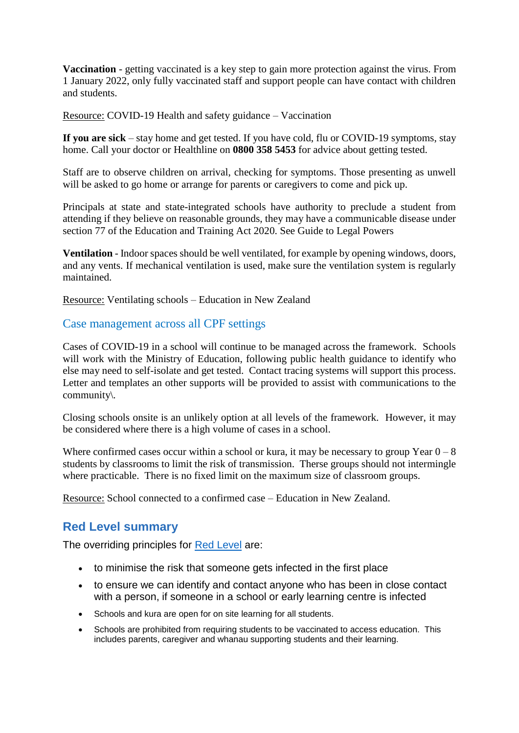**Vaccination** - getting vaccinated is a key step to gain more protection against the virus. From 1 January 2022, only fully vaccinated staff and support people can have contact with children and students.

Resource: COVID-19 Health and safety guidance – Vaccination

**If you are sick** – stay home and get tested. If you have cold, flu or COVID-19 symptoms, stay home. Call your doctor or Healthline on **0800 358 5453** for advice about getting tested.

Staff are to observe children on arrival, checking for symptoms. Those presenting as unwell will be asked to go home or arrange for parents or caregivers to come and pick up.

Principals at state and state-integrated schools have authority to preclude a student from attending if they believe on reasonable grounds, they may have a communicable disease under section 77 of the Education and Training Act 2020. See Guide to Legal Powers

**Ventilation** - Indoor spaces should be well ventilated, for example by opening windows, doors, and any vents. If mechanical ventilation is used, make sure the ventilation system is regularly maintained.

Resource: Ventilating schools – Education in New Zealand

#### Case management across all CPF settings

Cases of COVID-19 in a school will continue to be managed across the framework. Schools will work with the Ministry of Education, following public health guidance to identify who else may need to self-isolate and get tested. Contact tracing systems will support this process. Letter and templates an other supports will be provided to assist with communications to the community\.

Closing schools onsite is an unlikely option at all levels of the framework. However, it may be considered where there is a high volume of cases in a school.

Where confirmed cases occur within a school or kura, it may be necessary to group Year  $0 - 8$ students by classrooms to limit the risk of transmission. Therse groups should not intermingle where practicable. There is no fixed limit on the maximum size of classroom groups.

Resource: School connected to a confirmed case – Education in New Zealand.

### **Red Level summary**

The overriding principles for [Red](https://covid19.govt.nz/alert-system/alert-level-2/) Level are:

- to minimise the risk that someone gets infected in the first place
- to ensure we can identify and contact anyone who has been in close contact with a person, if someone in a school or early learning centre is infected
- Schools and kura are open for on site learning for all students.
- Schools are prohibited from requiring students to be vaccinated to access education. This includes parents, caregiver and whanau supporting students and their learning.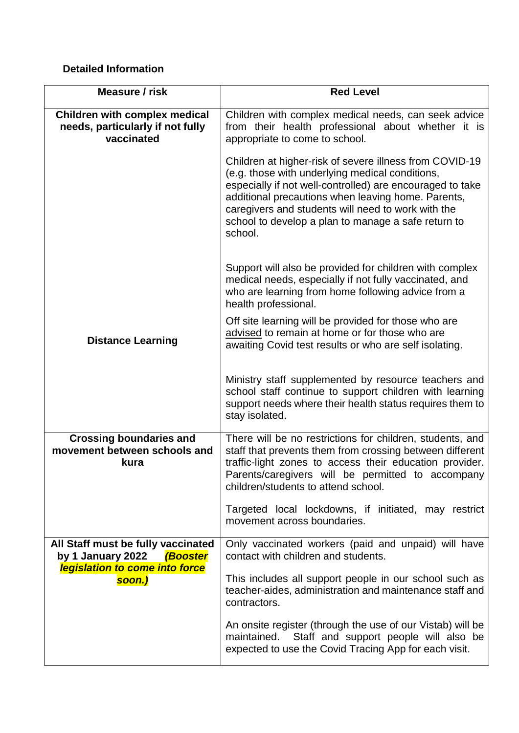### **Detailed Information**

| Measure / risk                                                                         | <b>Red Level</b>                                                                                                                                                                                                                                                                                                                                      |
|----------------------------------------------------------------------------------------|-------------------------------------------------------------------------------------------------------------------------------------------------------------------------------------------------------------------------------------------------------------------------------------------------------------------------------------------------------|
| <b>Children with complex medical</b><br>needs, particularly if not fully<br>vaccinated | Children with complex medical needs, can seek advice<br>from their health professional about whether it is<br>appropriate to come to school.                                                                                                                                                                                                          |
|                                                                                        | Children at higher-risk of severe illness from COVID-19<br>(e.g. those with underlying medical conditions,<br>especially if not well-controlled) are encouraged to take<br>additional precautions when leaving home. Parents,<br>caregivers and students will need to work with the<br>school to develop a plan to manage a safe return to<br>school. |
|                                                                                        | Support will also be provided for children with complex<br>medical needs, especially if not fully vaccinated, and<br>who are learning from home following advice from a<br>health professional.                                                                                                                                                       |
| <b>Distance Learning</b>                                                               | Off site learning will be provided for those who are<br>advised to remain at home or for those who are<br>awaiting Covid test results or who are self isolating.                                                                                                                                                                                      |
|                                                                                        | Ministry staff supplemented by resource teachers and<br>school staff continue to support children with learning<br>support needs where their health status requires them to<br>stay isolated.                                                                                                                                                         |
| <b>Crossing boundaries and</b><br>movement between schools and<br>kura                 | There will be no restrictions for children, students, and<br>staff that prevents them from crossing between different<br>traffic-light zones to access their education provider.<br>Parents/caregivers will be permitted to accompany<br>children/students to attend school.                                                                          |
|                                                                                        | Targeted local lockdowns, if initiated, may restrict<br>movement across boundaries.                                                                                                                                                                                                                                                                   |
| All Staff must be fully vaccinated<br>by 1 January 2022 (Booster                       | Only vaccinated workers (paid and unpaid) will have<br>contact with children and students.                                                                                                                                                                                                                                                            |
| legislation to come into force<br>soon.)                                               | This includes all support people in our school such as<br>teacher-aides, administration and maintenance staff and<br>contractors.                                                                                                                                                                                                                     |
|                                                                                        | An onsite register (through the use of our Vistab) will be<br>Staff and support people will also be<br>maintained.<br>expected to use the Covid Tracing App for each visit.                                                                                                                                                                           |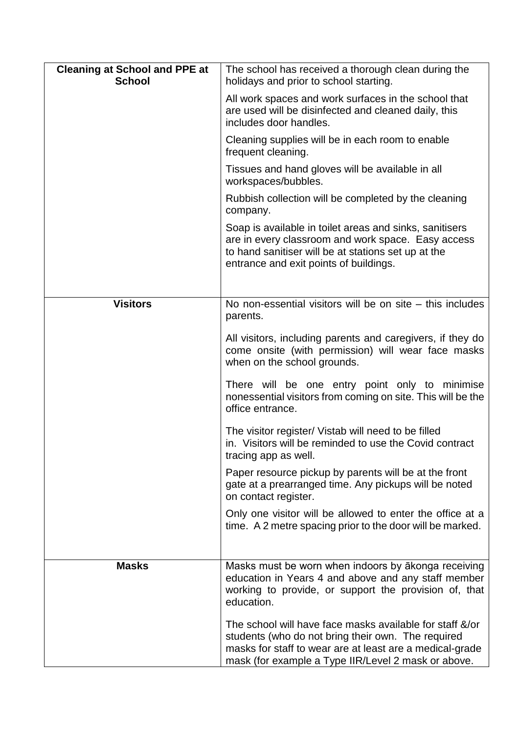| <b>Cleaning at School and PPE at</b> | The school has received a thorough clean during the                                                                                                                                                                               |
|--------------------------------------|-----------------------------------------------------------------------------------------------------------------------------------------------------------------------------------------------------------------------------------|
| <b>School</b>                        | holidays and prior to school starting.                                                                                                                                                                                            |
|                                      | All work spaces and work surfaces in the school that<br>are used will be disinfected and cleaned daily, this<br>includes door handles.                                                                                            |
|                                      | Cleaning supplies will be in each room to enable<br>frequent cleaning.                                                                                                                                                            |
|                                      | Tissues and hand gloves will be available in all<br>workspaces/bubbles.                                                                                                                                                           |
|                                      | Rubbish collection will be completed by the cleaning<br>company.                                                                                                                                                                  |
|                                      | Soap is available in toilet areas and sinks, sanitisers<br>are in every classroom and work space. Easy access<br>to hand sanitiser will be at stations set up at the<br>entrance and exit points of buildings.                    |
| <b>Visitors</b>                      | No non-essential visitors will be on site $-$ this includes<br>parents.                                                                                                                                                           |
|                                      | All visitors, including parents and caregivers, if they do<br>come onsite (with permission) will wear face masks<br>when on the school grounds.                                                                                   |
|                                      | There will be one entry point only to minimise<br>nonessential visitors from coming on site. This will be the<br>office entrance.                                                                                                 |
|                                      | The visitor register/ Vistab will need to be filled<br>in. Visitors will be reminded to use the Covid contract<br>tracing app as well.                                                                                            |
|                                      | Paper resource pickup by parents will be at the front<br>gate at a prearranged time. Any pickups will be noted<br>on contact register.                                                                                            |
|                                      | Only one visitor will be allowed to enter the office at a<br>time. A 2 metre spacing prior to the door will be marked.                                                                                                            |
|                                      |                                                                                                                                                                                                                                   |
| <b>Masks</b>                         | Masks must be worn when indoors by akonga receiving<br>education in Years 4 and above and any staff member<br>working to provide, or support the provision of, that<br>education.                                                 |
|                                      | The school will have face masks available for staff &/or<br>students (who do not bring their own. The required<br>masks for staff to wear are at least are a medical-grade<br>mask (for example a Type IIR/Level 2 mask or above. |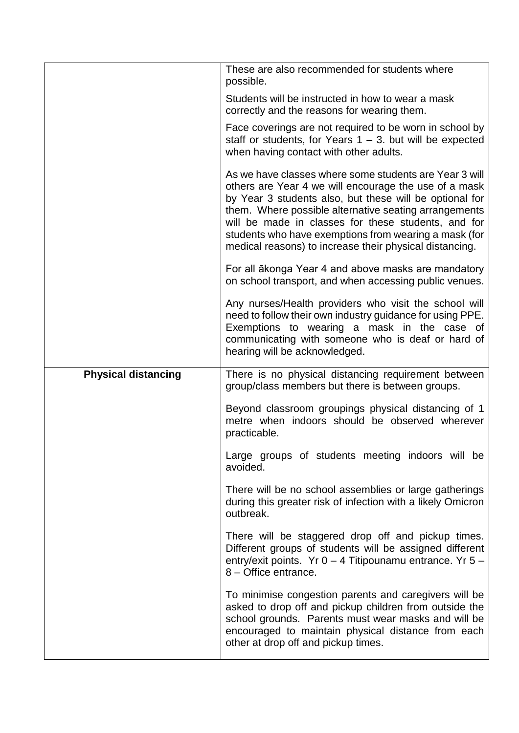|                            | These are also recommended for students where<br>possible.                                                                                                                                                                                                                                                                                                                                                     |
|----------------------------|----------------------------------------------------------------------------------------------------------------------------------------------------------------------------------------------------------------------------------------------------------------------------------------------------------------------------------------------------------------------------------------------------------------|
|                            | Students will be instructed in how to wear a mask<br>correctly and the reasons for wearing them.                                                                                                                                                                                                                                                                                                               |
|                            | Face coverings are not required to be worn in school by<br>staff or students, for Years $1 - 3$ . but will be expected<br>when having contact with other adults.                                                                                                                                                                                                                                               |
|                            | As we have classes where some students are Year 3 will<br>others are Year 4 we will encourage the use of a mask<br>by Year 3 students also, but these will be optional for<br>them. Where possible alternative seating arrangements<br>will be made in classes for these students, and for<br>students who have exemptions from wearing a mask (for<br>medical reasons) to increase their physical distancing. |
|                            | For all ākonga Year 4 and above masks are mandatory<br>on school transport, and when accessing public venues.                                                                                                                                                                                                                                                                                                  |
|                            | Any nurses/Health providers who visit the school will<br>need to follow their own industry guidance for using PPE.<br>Exemptions to wearing a mask in the case of<br>communicating with someone who is deaf or hard of<br>hearing will be acknowledged.                                                                                                                                                        |
|                            |                                                                                                                                                                                                                                                                                                                                                                                                                |
| <b>Physical distancing</b> | There is no physical distancing requirement between<br>group/class members but there is between groups.                                                                                                                                                                                                                                                                                                        |
|                            | Beyond classroom groupings physical distancing of 1<br>metre when indoors should be observed wherever<br>practicable.                                                                                                                                                                                                                                                                                          |
|                            | Large groups of students meeting indoors will be<br>avoided.                                                                                                                                                                                                                                                                                                                                                   |
|                            | There will be no school assemblies or large gatherings<br>during this greater risk of infection with a likely Omicron<br>outbreak.                                                                                                                                                                                                                                                                             |
|                            | There will be staggered drop off and pickup times.<br>Different groups of students will be assigned different<br>entry/exit points. Yr $0 - 4$ Titipounamu entrance. Yr $5 -$<br>8 - Office entrance.                                                                                                                                                                                                          |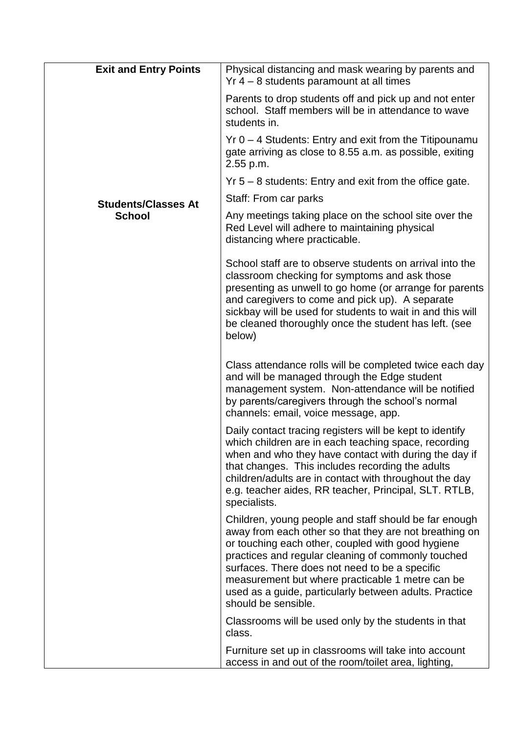| <b>Exit and Entry Points</b> | Physical distancing and mask wearing by parents and<br>$Yr$ 4 – 8 students paramount at all times                                                                                                                                                                                                                                                                                                                 |
|------------------------------|-------------------------------------------------------------------------------------------------------------------------------------------------------------------------------------------------------------------------------------------------------------------------------------------------------------------------------------------------------------------------------------------------------------------|
|                              | Parents to drop students off and pick up and not enter<br>school. Staff members will be in attendance to wave<br>students in.                                                                                                                                                                                                                                                                                     |
|                              | $Yr$ 0 – 4 Students: Entry and exit from the Titipounamu<br>gate arriving as close to 8.55 a.m. as possible, exiting<br>2.55 p.m.                                                                                                                                                                                                                                                                                 |
|                              | $Yr$ 5 – 8 students: Entry and exit from the office gate.                                                                                                                                                                                                                                                                                                                                                         |
| <b>Students/Classes At</b>   | Staff: From car parks                                                                                                                                                                                                                                                                                                                                                                                             |
| <b>School</b>                | Any meetings taking place on the school site over the<br>Red Level will adhere to maintaining physical<br>distancing where practicable.                                                                                                                                                                                                                                                                           |
|                              | School staff are to observe students on arrival into the<br>classroom checking for symptoms and ask those<br>presenting as unwell to go home (or arrange for parents<br>and caregivers to come and pick up). A separate<br>sickbay will be used for students to wait in and this will<br>be cleaned thoroughly once the student has left. (see<br>below)                                                          |
|                              | Class attendance rolls will be completed twice each day<br>and will be managed through the Edge student<br>management system. Non-attendance will be notified<br>by parents/caregivers through the school's normal<br>channels: email, voice message, app.                                                                                                                                                        |
|                              | Daily contact tracing registers will be kept to identify<br>which children are in each teaching space, recording<br>when and who they have contact with during the day if<br>that changes. This includes recording the adults<br>children/adults are in contact with throughout the day<br>e.g. teacher aides, RR teacher, Principal, SLT. RTLB,<br>specialists.                                                  |
|                              | Children, young people and staff should be far enough<br>away from each other so that they are not breathing on<br>or touching each other, coupled with good hygiene<br>practices and regular cleaning of commonly touched<br>surfaces. There does not need to be a specific<br>measurement but where practicable 1 metre can be<br>used as a guide, particularly between adults. Practice<br>should be sensible. |
|                              | Classrooms will be used only by the students in that<br>class.                                                                                                                                                                                                                                                                                                                                                    |
|                              | Furniture set up in classrooms will take into account<br>access in and out of the room/toilet area, lighting,                                                                                                                                                                                                                                                                                                     |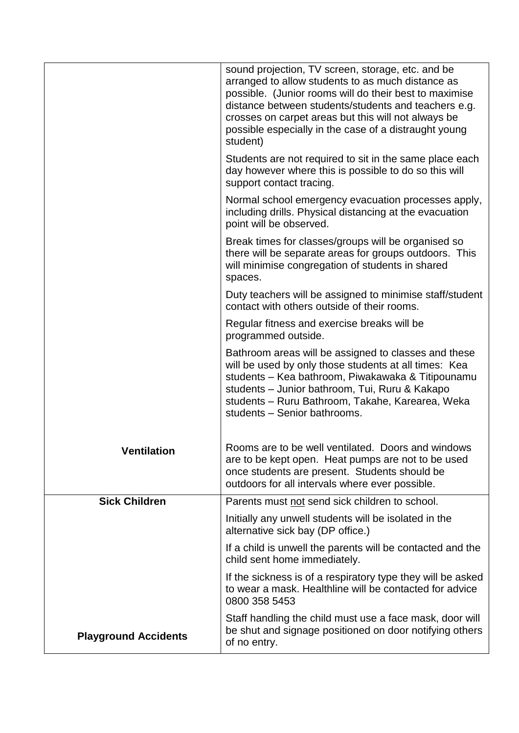|                             | sound projection, TV screen, storage, etc. and be<br>arranged to allow students to as much distance as<br>possible. (Junior rooms will do their best to maximise<br>distance between students/students and teachers e.g.<br>crosses on carpet areas but this will not always be<br>possible especially in the case of a distraught young<br>student) |
|-----------------------------|------------------------------------------------------------------------------------------------------------------------------------------------------------------------------------------------------------------------------------------------------------------------------------------------------------------------------------------------------|
|                             | Students are not required to sit in the same place each<br>day however where this is possible to do so this will<br>support contact tracing.                                                                                                                                                                                                         |
|                             | Normal school emergency evacuation processes apply,<br>including drills. Physical distancing at the evacuation<br>point will be observed.                                                                                                                                                                                                            |
|                             | Break times for classes/groups will be organised so<br>there will be separate areas for groups outdoors. This<br>will minimise congregation of students in shared<br>spaces.                                                                                                                                                                         |
|                             | Duty teachers will be assigned to minimise staff/student<br>contact with others outside of their rooms.                                                                                                                                                                                                                                              |
|                             | Regular fitness and exercise breaks will be<br>programmed outside.                                                                                                                                                                                                                                                                                   |
|                             | Bathroom areas will be assigned to classes and these<br>will be used by only those students at all times: Kea<br>students – Kea bathroom, Piwakawaka & Titipounamu<br>students - Junior bathroom, Tui, Ruru & Kakapo<br>students - Ruru Bathroom, Takahe, Karearea, Weka<br>students - Senior bathrooms.                                             |
| <b>Ventilation</b>          | Rooms are to be well ventilated. Doors and windows<br>are to be kept open. Heat pumps are not to be used<br>once students are present. Students should be<br>outdoors for all intervals where ever possible.                                                                                                                                         |
| <b>Sick Children</b>        | Parents must not send sick children to school.                                                                                                                                                                                                                                                                                                       |
|                             | Initially any unwell students will be isolated in the<br>alternative sick bay (DP office.)                                                                                                                                                                                                                                                           |
|                             | If a child is unwell the parents will be contacted and the<br>child sent home immediately.                                                                                                                                                                                                                                                           |
|                             | If the sickness is of a respiratory type they will be asked<br>to wear a mask. Healthline will be contacted for advice<br>0800 358 5453                                                                                                                                                                                                              |
| <b>Playground Accidents</b> | Staff handling the child must use a face mask, door will<br>be shut and signage positioned on door notifying others<br>of no entry.                                                                                                                                                                                                                  |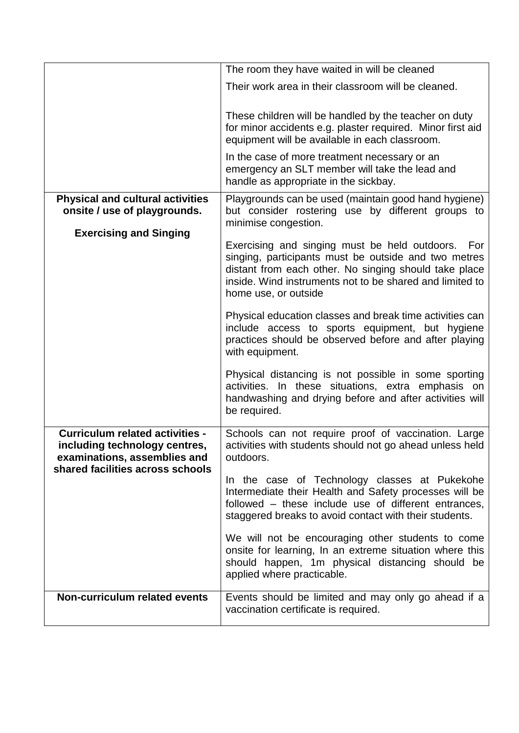|                                                                                                                                             | The room they have waited in will be cleaned                                                                                                                                                                                                           |
|---------------------------------------------------------------------------------------------------------------------------------------------|--------------------------------------------------------------------------------------------------------------------------------------------------------------------------------------------------------------------------------------------------------|
|                                                                                                                                             | Their work area in their classroom will be cleaned.                                                                                                                                                                                                    |
|                                                                                                                                             | These children will be handled by the teacher on duty<br>for minor accidents e.g. plaster required. Minor first aid<br>equipment will be available in each classroom.                                                                                  |
|                                                                                                                                             | In the case of more treatment necessary or an<br>emergency an SLT member will take the lead and<br>handle as appropriate in the sickbay.                                                                                                               |
| <b>Physical and cultural activities</b><br>onsite / use of playgrounds.                                                                     | Playgrounds can be used (maintain good hand hygiene)<br>but consider rostering use by different groups to                                                                                                                                              |
| <b>Exercising and Singing</b>                                                                                                               | minimise congestion.                                                                                                                                                                                                                                   |
|                                                                                                                                             | Exercising and singing must be held outdoors. For<br>singing, participants must be outside and two metres<br>distant from each other. No singing should take place<br>inside. Wind instruments not to be shared and limited to<br>home use, or outside |
|                                                                                                                                             | Physical education classes and break time activities can<br>include access to sports equipment, but hygiene<br>practices should be observed before and after playing<br>with equipment.                                                                |
|                                                                                                                                             | Physical distancing is not possible in some sporting<br>activities. In these situations, extra emphasis on<br>handwashing and drying before and after activities will<br>be required.                                                                  |
| <b>Curriculum related activities -</b><br>including technology centres,<br>examinations, assemblies and<br>shared facilities across schools | Schools can not require proof of vaccination. Large<br>activities with students should not go ahead unless held<br>outdoors.                                                                                                                           |
|                                                                                                                                             | In the case of Technology classes at Pukekohe<br>Intermediate their Health and Safety processes will be<br>followed – these include use of different entrances,<br>staggered breaks to avoid contact with their students.                              |
|                                                                                                                                             | We will not be encouraging other students to come<br>onsite for learning, In an extreme situation where this<br>should happen, 1m physical distancing should be<br>applied where practicable.                                                          |
| Non-curriculum related events                                                                                                               | Events should be limited and may only go ahead if a<br>vaccination certificate is required.                                                                                                                                                            |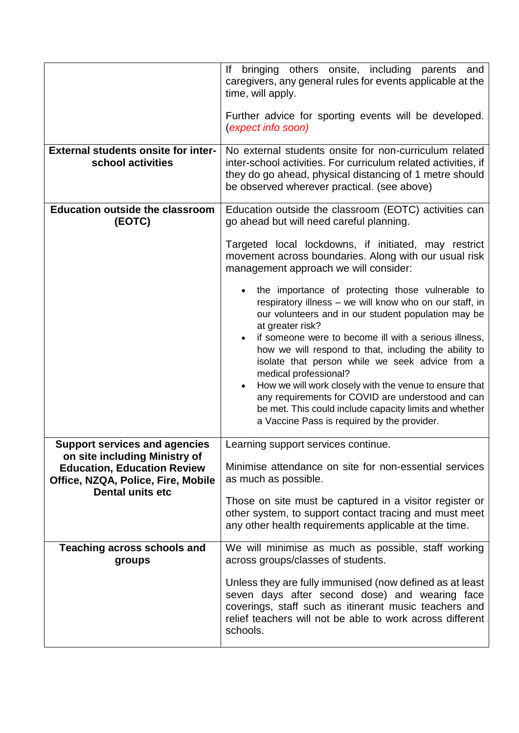|                                                                                                     | If bringing others onsite, including parents and<br>caregivers, any general rules for events applicable at the<br>time, will apply.<br>Further advice for sporting events will be developed.<br><i>(expect info soon)</i>                                                                                                                                                                                                                                                                                                                                                                                    |
|-----------------------------------------------------------------------------------------------------|--------------------------------------------------------------------------------------------------------------------------------------------------------------------------------------------------------------------------------------------------------------------------------------------------------------------------------------------------------------------------------------------------------------------------------------------------------------------------------------------------------------------------------------------------------------------------------------------------------------|
| <b>External students onsite for inter-</b><br>school activities                                     | No external students onsite for non-curriculum related<br>inter-school activities. For curriculum related activities, if<br>they do go ahead, physical distancing of 1 metre should<br>be observed wherever practical. (see above)                                                                                                                                                                                                                                                                                                                                                                           |
| <b>Education outside the classroom</b><br>(EOTC)                                                    | Education outside the classroom (EOTC) activities can<br>go ahead but will need careful planning.                                                                                                                                                                                                                                                                                                                                                                                                                                                                                                            |
|                                                                                                     | Targeted local lockdowns, if initiated, may restrict<br>movement across boundaries. Along with our usual risk<br>management approach we will consider:                                                                                                                                                                                                                                                                                                                                                                                                                                                       |
|                                                                                                     | the importance of protecting those vulnerable to<br>respiratory illness - we will know who on our staff, in<br>our volunteers and in our student population may be<br>at greater risk?<br>if someone were to become ill with a serious illness,<br>how we will respond to that, including the ability to<br>isolate that person while we seek advice from a<br>medical professional?<br>How we will work closely with the venue to ensure that<br>any requirements for COVID are understood and can<br>be met. This could include capacity limits and whether<br>a Vaccine Pass is required by the provider. |
| <b>Support services and agencies</b><br>on site including Ministry of                               | Learning support services continue.                                                                                                                                                                                                                                                                                                                                                                                                                                                                                                                                                                          |
| <b>Education, Education Review</b><br>Office, NZQA, Police, Fire, Mobile<br><b>Dental units etc</b> | Minimise attendance on site for non-essential services<br>as much as possible.                                                                                                                                                                                                                                                                                                                                                                                                                                                                                                                               |
|                                                                                                     | Those on site must be captured in a visitor register or<br>other system, to support contact tracing and must meet<br>any other health requirements applicable at the time.                                                                                                                                                                                                                                                                                                                                                                                                                                   |
| <b>Teaching across schools and</b><br>groups                                                        | We will minimise as much as possible, staff working<br>across groups/classes of students.                                                                                                                                                                                                                                                                                                                                                                                                                                                                                                                    |
|                                                                                                     | Unless they are fully immunised (now defined as at least<br>seven days after second dose) and wearing face<br>coverings, staff such as itinerant music teachers and<br>relief teachers will not be able to work across different<br>schools.                                                                                                                                                                                                                                                                                                                                                                 |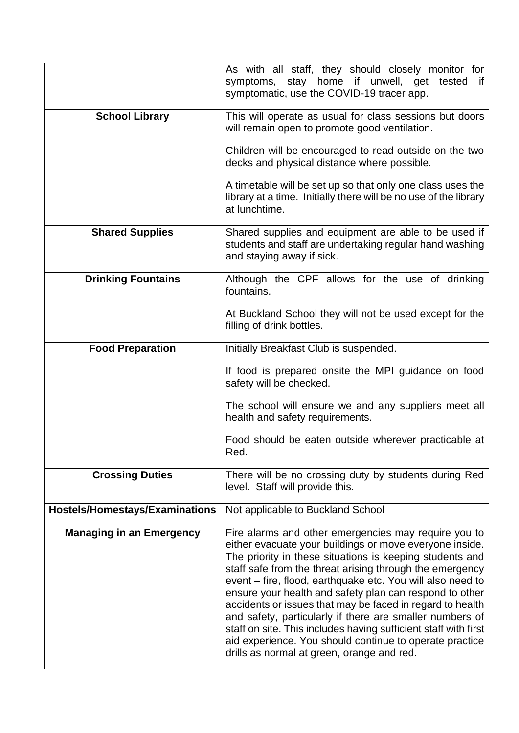|                                       | As with all staff, they should closely monitor for<br>stay home if unwell, get tested<br>symptoms,<br>if<br>symptomatic, use the COVID-19 tracer app.                                                                                                                                                                                                                                                                                                                                                                                                                                                                                                                 |
|---------------------------------------|-----------------------------------------------------------------------------------------------------------------------------------------------------------------------------------------------------------------------------------------------------------------------------------------------------------------------------------------------------------------------------------------------------------------------------------------------------------------------------------------------------------------------------------------------------------------------------------------------------------------------------------------------------------------------|
| <b>School Library</b>                 | This will operate as usual for class sessions but doors<br>will remain open to promote good ventilation.                                                                                                                                                                                                                                                                                                                                                                                                                                                                                                                                                              |
|                                       | Children will be encouraged to read outside on the two<br>decks and physical distance where possible.                                                                                                                                                                                                                                                                                                                                                                                                                                                                                                                                                                 |
|                                       | A timetable will be set up so that only one class uses the<br>library at a time. Initially there will be no use of the library<br>at lunchtime.                                                                                                                                                                                                                                                                                                                                                                                                                                                                                                                       |
| <b>Shared Supplies</b>                | Shared supplies and equipment are able to be used if<br>students and staff are undertaking regular hand washing<br>and staying away if sick.                                                                                                                                                                                                                                                                                                                                                                                                                                                                                                                          |
| <b>Drinking Fountains</b>             | Although the CPF allows for the use of drinking<br>fountains.                                                                                                                                                                                                                                                                                                                                                                                                                                                                                                                                                                                                         |
|                                       | At Buckland School they will not be used except for the<br>filling of drink bottles.                                                                                                                                                                                                                                                                                                                                                                                                                                                                                                                                                                                  |
| <b>Food Preparation</b>               | Initially Breakfast Club is suspended.                                                                                                                                                                                                                                                                                                                                                                                                                                                                                                                                                                                                                                |
|                                       | If food is prepared onsite the MPI guidance on food<br>safety will be checked.                                                                                                                                                                                                                                                                                                                                                                                                                                                                                                                                                                                        |
|                                       | The school will ensure we and any suppliers meet all<br>health and safety requirements.                                                                                                                                                                                                                                                                                                                                                                                                                                                                                                                                                                               |
|                                       | Food should be eaten outside wherever practicable at<br>Red.                                                                                                                                                                                                                                                                                                                                                                                                                                                                                                                                                                                                          |
| <b>Crossing Duties</b>                | There will be no crossing duty by students during Red<br>level. Staff will provide this.                                                                                                                                                                                                                                                                                                                                                                                                                                                                                                                                                                              |
| <b>Hostels/Homestays/Examinations</b> | Not applicable to Buckland School                                                                                                                                                                                                                                                                                                                                                                                                                                                                                                                                                                                                                                     |
| <b>Managing in an Emergency</b>       | Fire alarms and other emergencies may require you to<br>either evacuate your buildings or move everyone inside.<br>The priority in these situations is keeping students and<br>staff safe from the threat arising through the emergency<br>event – fire, flood, earthquake etc. You will also need to<br>ensure your health and safety plan can respond to other<br>accidents or issues that may be faced in regard to health<br>and safety, particularly if there are smaller numbers of<br>staff on site. This includes having sufficient staff with first<br>aid experience. You should continue to operate practice<br>drills as normal at green, orange and red. |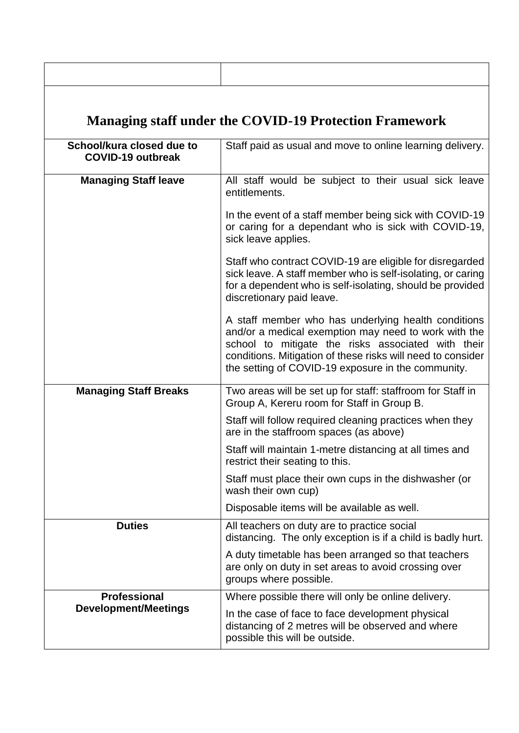|                                                       | <b>Managing staff under the COVID-19 Protection Framework</b>                                                                                                                                                                                                                          |  |
|-------------------------------------------------------|----------------------------------------------------------------------------------------------------------------------------------------------------------------------------------------------------------------------------------------------------------------------------------------|--|
| School/kura closed due to<br><b>COVID-19 outbreak</b> | Staff paid as usual and move to online learning delivery.                                                                                                                                                                                                                              |  |
| <b>Managing Staff leave</b>                           | All staff would be subject to their usual sick leave<br>entitlements.                                                                                                                                                                                                                  |  |
|                                                       | In the event of a staff member being sick with COVID-19<br>or caring for a dependant who is sick with COVID-19,<br>sick leave applies.                                                                                                                                                 |  |
|                                                       | Staff who contract COVID-19 are eligible for disregarded<br>sick leave. A staff member who is self-isolating, or caring<br>for a dependent who is self-isolating, should be provided<br>discretionary paid leave.                                                                      |  |
|                                                       | A staff member who has underlying health conditions<br>and/or a medical exemption may need to work with the<br>school to mitigate the risks associated with their<br>conditions. Mitigation of these risks will need to consider<br>the setting of COVID-19 exposure in the community. |  |
| <b>Managing Staff Breaks</b>                          | Two areas will be set up for staff: staffroom for Staff in<br>Group A, Kereru room for Staff in Group B.                                                                                                                                                                               |  |
|                                                       | Staff will follow required cleaning practices when they<br>are in the staffroom spaces (as above)                                                                                                                                                                                      |  |
|                                                       | Staff will maintain 1-metre distancing at all times and<br>restrict their seating to this.                                                                                                                                                                                             |  |
|                                                       | Staff must place their own cups in the dishwasher (or<br>wash their own cup)                                                                                                                                                                                                           |  |
|                                                       | Disposable items will be available as well.                                                                                                                                                                                                                                            |  |
| <b>Duties</b>                                         | All teachers on duty are to practice social<br>distancing. The only exception is if a child is badly hurt.                                                                                                                                                                             |  |
|                                                       | A duty timetable has been arranged so that teachers<br>are only on duty in set areas to avoid crossing over<br>groups where possible.                                                                                                                                                  |  |
| <b>Professional</b>                                   | Where possible there will only be online delivery.                                                                                                                                                                                                                                     |  |
| <b>Development/Meetings</b>                           | In the case of face to face development physical<br>distancing of 2 metres will be observed and where<br>possible this will be outside.                                                                                                                                                |  |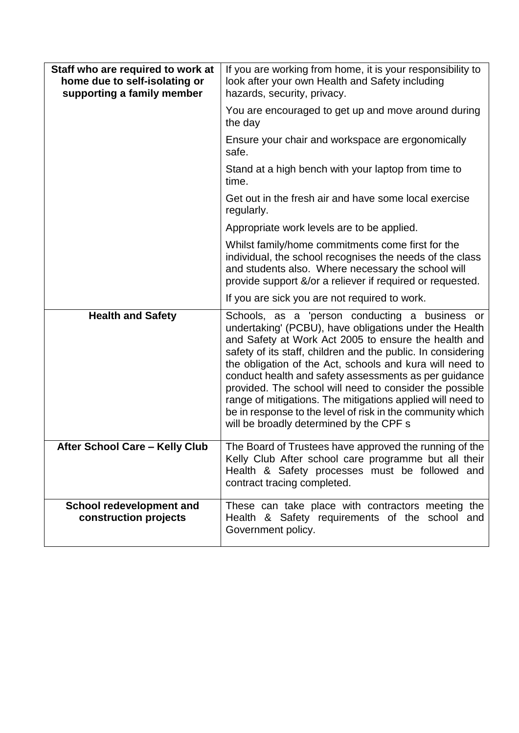| Staff who are required to work at<br>home due to self-isolating or<br>supporting a family member | If you are working from home, it is your responsibility to<br>look after your own Health and Safety including<br>hazards, security, privacy.                                                                                                                                                                                                                                                                                                                                                                                                                                            |
|--------------------------------------------------------------------------------------------------|-----------------------------------------------------------------------------------------------------------------------------------------------------------------------------------------------------------------------------------------------------------------------------------------------------------------------------------------------------------------------------------------------------------------------------------------------------------------------------------------------------------------------------------------------------------------------------------------|
|                                                                                                  | You are encouraged to get up and move around during<br>the day                                                                                                                                                                                                                                                                                                                                                                                                                                                                                                                          |
|                                                                                                  | Ensure your chair and workspace are ergonomically<br>safe.                                                                                                                                                                                                                                                                                                                                                                                                                                                                                                                              |
|                                                                                                  | Stand at a high bench with your laptop from time to<br>time.                                                                                                                                                                                                                                                                                                                                                                                                                                                                                                                            |
|                                                                                                  | Get out in the fresh air and have some local exercise<br>regularly.                                                                                                                                                                                                                                                                                                                                                                                                                                                                                                                     |
|                                                                                                  | Appropriate work levels are to be applied.                                                                                                                                                                                                                                                                                                                                                                                                                                                                                                                                              |
|                                                                                                  | Whilst family/home commitments come first for the<br>individual, the school recognises the needs of the class<br>and students also. Where necessary the school will<br>provide support &/or a reliever if required or requested.                                                                                                                                                                                                                                                                                                                                                        |
|                                                                                                  | If you are sick you are not required to work.                                                                                                                                                                                                                                                                                                                                                                                                                                                                                                                                           |
| <b>Health and Safety</b>                                                                         | Schools, as a 'person conducting a business or<br>undertaking' (PCBU), have obligations under the Health<br>and Safety at Work Act 2005 to ensure the health and<br>safety of its staff, children and the public. In considering<br>the obligation of the Act, schools and kura will need to<br>conduct health and safety assessments as per guidance<br>provided. The school will need to consider the possible<br>range of mitigations. The mitigations applied will need to<br>be in response to the level of risk in the community which<br>will be broadly determined by the CPF s |
| <b>After School Care - Kelly Club</b>                                                            | The Board of Trustees have approved the running of the<br>Kelly Club After school care programme but all their<br>Health & Safety processes must be followed and<br>contract tracing completed.                                                                                                                                                                                                                                                                                                                                                                                         |
| <b>School redevelopment and</b><br>construction projects                                         | These can take place with contractors meeting the<br>Health & Safety requirements of the school and<br>Government policy.                                                                                                                                                                                                                                                                                                                                                                                                                                                               |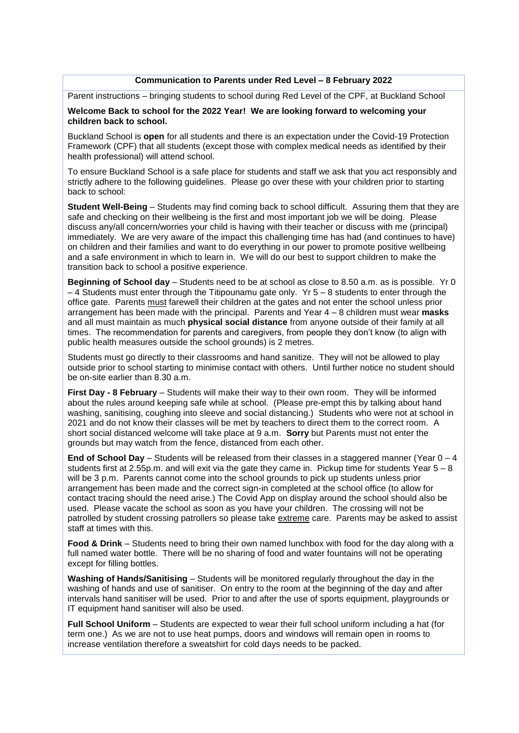#### **Communication to Parents under Red Level – 8 February 2022**

Parent instructions – bringing students to school during Red Level of the CPF, at Buckland School

#### **Welcome Back to school for the 2022 Year! We are looking forward to welcoming your children back to school.**

Buckland School is **open** for all students and there is an expectation under the Covid-19 Protection Framework (CPF) that all students (except those with complex medical needs as identified by their health professional) will attend school.

To ensure Buckland School is a safe place for students and staff we ask that you act responsibly and strictly adhere to the following guidelines. Please go over these with your children prior to starting back to school:

**Student Well-Being** – Students may find coming back to school difficult. Assuring them that they are safe and checking on their wellbeing is the first and most important job we will be doing. Please discuss any/all concern/worries your child is having with their teacher or discuss with me (principal) immediately. We are very aware of the impact this challenging time has had (and continues to have) on children and their families and want to do everything in our power to promote positive wellbeing and a safe environment in which to learn in. We will do our best to support children to make the transition back to school a positive experience.

**Beginning of School day** – Students need to be at school as close to 8.50 a.m. as is possible. Yr 0 – 4 Students must enter through the Titipounamu gate only. Yr 5 – 8 students to enter through the office gate. Parents must farewell their children at the gates and not enter the school unless prior arrangement has been made with the principal. Parents and Year 4 – 8 children must wear **masks** and all must maintain as much **physical social distance** from anyone outside of their family at all times. The recommendation for parents and caregivers, from people they don't know (to align with public health measures outside the school grounds) is 2 metres.

Students must go directly to their classrooms and hand sanitize. They will not be allowed to play outside prior to school starting to minimise contact with others. Until further notice no student should be on-site earlier than 8.30 a.m.

**First Day - 8 February** – Students will make their way to their own room. They will be informed about the rules around keeping safe while at school. (Please pre-empt this by talking about hand washing, sanitising, coughing into sleeve and social distancing.) Students who were not at school in 2021 and do not know their classes will be met by teachers to direct them to the correct room. A short social distanced welcome will take place at 9 a.m. **Sorry** but Parents must not enter the grounds but may watch from the fence, distanced from each other.

**End of School Day** – Students will be released from their classes in a staggered manner (Year 0 – 4 students first at 2.55p.m. and will exit via the gate they came in. Pickup time for students Year  $5 - 8$ will be 3 p.m. Parents cannot come into the school grounds to pick up students unless prior arrangement has been made and the correct sign-in completed at the school office (to allow for contact tracing should the need arise.) The Covid App on display around the school should also be used. Please vacate the school as soon as you have your children. The crossing will not be patrolled by student crossing patrollers so please take extreme care. Parents may be asked to assist staff at times with this.

**Food & Drink** – Students need to bring their own named lunchbox with food for the day along with a full named water bottle. There will be no sharing of food and water fountains will not be operating except for filling bottles.

**Washing of Hands/Sanitising** – Students will be monitored regularly throughout the day in the washing of hands and use of sanitiser. On entry to the room at the beginning of the day and after intervals hand sanitiser will be used. Prior to and after the use of sports equipment, playgrounds or IT equipment hand sanitiser will also be used.

**Full School Uniform** – Students are expected to wear their full school uniform including a hat (for term one.) As we are not to use heat pumps, doors and windows will remain open in rooms to increase ventilation therefore a sweatshirt for cold days needs to be packed.